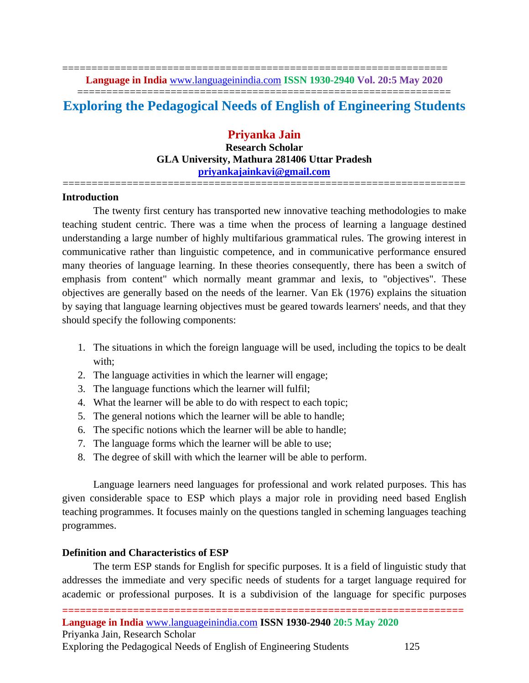================================================================== **Language in India** [www.languageinindia.com](http://www.languageinindia.com/) **ISSN 1930-2940 Vol. 20:5 May 2020**

## ================================================================ **Exploring the Pedagogical Needs of English of Engineering Students**

**Priyanka Jain Research Scholar GLA University, Mathura 281406 Uttar Pradesh [priyankajainkavi@gmail.com](mailto:priyankajainkavi@gmail.com)**

=====================================================================

#### **Introduction**

The twenty first century has transported new innovative teaching methodologies to make teaching student centric. There was a time when the process of learning a language destined understanding a large number of highly multifarious grammatical rules. The growing interest in communicative rather than linguistic competence, and in communicative performance ensured many theories of language learning. In these theories consequently, there has been a switch of emphasis from content" which normally meant grammar and lexis, to "objectives". These objectives are generally based on the needs of the learner. Van Ek (1976) explains the situation by saying that language learning objectives must be geared towards learners' needs, and that they should specify the following components:

- 1. The situations in which the foreign language will be used, including the topics to be dealt with;
- 2. The language activities in which the learner will engage;
- 3. The language functions which the learner will fulfil;
- 4. What the learner will be able to do with respect to each topic;
- 5. The general notions which the learner will be able to handle;
- 6. The specific notions which the learner will be able to handle;
- 7. The language forms which the learner will be able to use;
- 8. The degree of skill with which the learner will be able to perform.

Language learners need languages for professional and work related purposes. This has given considerable space to ESP which plays a major role in providing need based English teaching programmes. It focuses mainly on the questions tangled in scheming languages teaching programmes.

#### **Definition and Characteristics of ESP**

The term ESP stands for English for specific purposes. It is a field of linguistic study that addresses the immediate and very specific needs of students for a target language required for academic or professional purposes. It is a subdivision of the language for specific purposes

**====================================================================**

Exploring the Pedagogical Needs of English of Engineering Students 125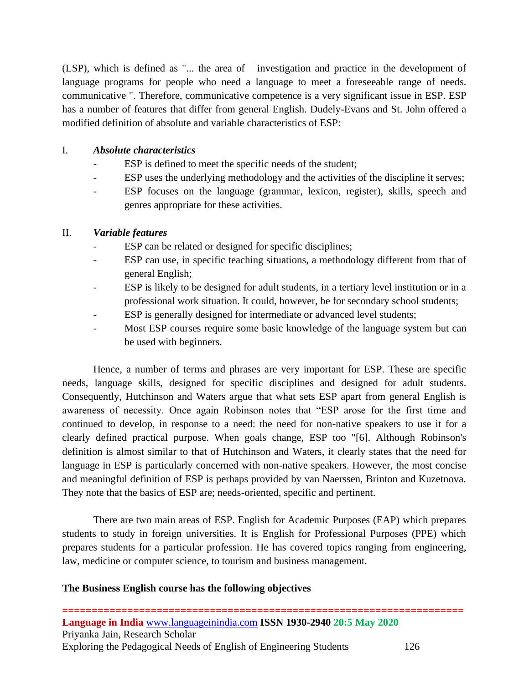(LSP), which is defined as "... the area of investigation and practice in the development of language programs for people who need a language to meet a foreseeable range of needs. communicative ". Therefore, communicative competence is a very significant issue in ESP. ESP has a number of features that differ from general English. Dudely-Evans and St. John offered a modified definition of absolute and variable characteristics of ESP:

## I. *Absolute characteristics*

- ESP is defined to meet the specific needs of the student;
- ESP uses the underlying methodology and the activities of the discipline it serves;
- ESP focuses on the language (grammar, lexicon, register), skills, speech and genres appropriate for these activities.

## II. *Variable features*

- ESP can be related or designed for specific disciplines;
- ESP can use, in specific teaching situations, a methodology different from that of general English;
- ESP is likely to be designed for adult students, in a tertiary level institution or in a professional work situation. It could, however, be for secondary school students;
- ESP is generally designed for intermediate or advanced level students;
- Most ESP courses require some basic knowledge of the language system but can be used with beginners.

Hence, a number of terms and phrases are very important for ESP. These are specific needs, language skills, designed for specific disciplines and designed for adult students. Consequently, Hutchinson and Waters argue that what sets ESP apart from general English is awareness of necessity. Once again Robinson notes that "ESP arose for the first time and continued to develop, in response to a need: the need for non-native speakers to use it for a clearly defined practical purpose. When goals change, ESP too "[6]. Although Robinson's definition is almost similar to that of Hutchinson and Waters, it clearly states that the need for language in ESP is particularly concerned with non-native speakers. However, the most concise and meaningful definition of ESP is perhaps provided by van Naerssen, Brinton and Kuzetnova. They note that the basics of ESP are; needs-oriented, specific and pertinent.

There are two main areas of ESP. English for Academic Purposes (EAP) which prepares students to study in foreign universities. It is English for Professional Purposes (PPE) which prepares students for a particular profession. He has covered topics ranging from engineering, law, medicine or computer science, to tourism and business management.

### **The Business English course has the following objectives**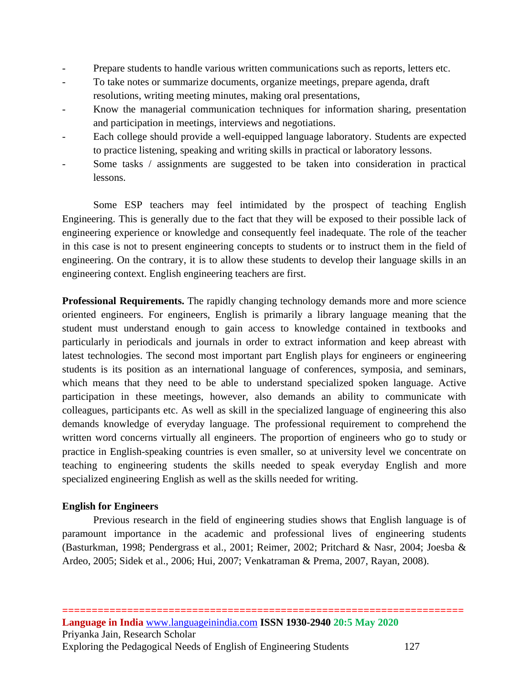- Prepare students to handle various written communications such as reports, letters etc.
- To take notes or summarize documents, organize meetings, prepare agenda, draft resolutions, writing meeting minutes, making oral presentations,
- Know the managerial communication techniques for information sharing, presentation and participation in meetings, interviews and negotiations.
- Each college should provide a well-equipped language laboratory. Students are expected to practice listening, speaking and writing skills in practical or laboratory lessons.
- Some tasks / assignments are suggested to be taken into consideration in practical lessons.

Some ESP teachers may feel intimidated by the prospect of teaching English Engineering. This is generally due to the fact that they will be exposed to their possible lack of engineering experience or knowledge and consequently feel inadequate. The role of the teacher in this case is not to present engineering concepts to students or to instruct them in the field of engineering. On the contrary, it is to allow these students to develop their language skills in an engineering context. English engineering teachers are first.

**Professional Requirements.** The rapidly changing technology demands more and more science oriented engineers. For engineers, English is primarily a library language meaning that the student must understand enough to gain access to knowledge contained in textbooks and particularly in periodicals and journals in order to extract information and keep abreast with latest technologies. The second most important part English plays for engineers or engineering students is its position as an international language of conferences, symposia, and seminars, which means that they need to be able to understand specialized spoken language. Active participation in these meetings, however, also demands an ability to communicate with colleagues, participants etc. As well as skill in the specialized language of engineering this also demands knowledge of everyday language. The professional requirement to comprehend the written word concerns virtually all engineers. The proportion of engineers who go to study or practice in English-speaking countries is even smaller, so at university level we concentrate on teaching to engineering students the skills needed to speak everyday English and more specialized engineering English as well as the skills needed for writing.

### **English for Engineers**

Previous research in the field of engineering studies shows that English language is of paramount importance in the academic and professional lives of engineering students (Basturkman, 1998; Pendergrass et al., 2001; Reimer, 2002; Pritchard & Nasr, 2004; Joesba & Ardeo, 2005; Sidek et al., 2006; Hui, 2007; Venkatraman & Prema, 2007, Rayan, 2008).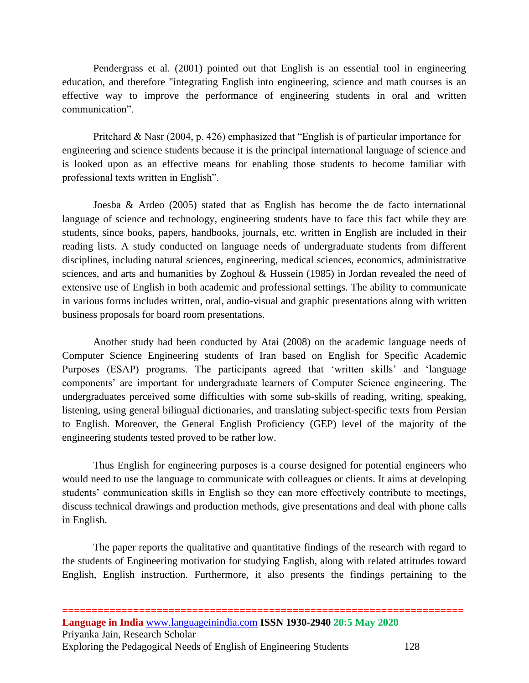Pendergrass et al. (2001) pointed out that English is an essential tool in engineering education, and therefore "integrating English into engineering, science and math courses is an effective way to improve the performance of engineering students in oral and written communication".

Pritchard & Nasr (2004, p. 426) emphasized that "English is of particular importance for engineering and science students because it is the principal international language of science and is looked upon as an effective means for enabling those students to become familiar with professional texts written in English".

Joesba  $\&$  Ardeo (2005) stated that as English has become the de facto international language of science and technology, engineering students have to face this fact while they are students, since books, papers, handbooks, journals, etc. written in English are included in their reading lists. A study conducted on language needs of undergraduate students from different disciplines, including natural sciences, engineering, medical sciences, economics, administrative sciences, and arts and humanities by Zoghoul & Hussein (1985) in Jordan revealed the need of extensive use of English in both academic and professional settings. The ability to communicate in various forms includes written, oral, audio-visual and graphic presentations along with written business proposals for board room presentations.

Another study had been conducted by Atai (2008) on the academic language needs of Computer Science Engineering students of Iran based on English for Specific Academic Purposes (ESAP) programs. The participants agreed that 'written skills' and 'language components' are important for undergraduate learners of Computer Science engineering. The undergraduates perceived some difficulties with some sub-skills of reading, writing, speaking, listening, using general bilingual dictionaries, and translating subject-specific texts from Persian to English. Moreover, the General English Proficiency (GEP) level of the majority of the engineering students tested proved to be rather low.

Thus English for engineering purposes is a course designed for potential engineers who would need to use the language to communicate with colleagues or clients. It aims at developing students' communication skills in English so they can more effectively contribute to meetings, discuss technical drawings and production methods, give presentations and deal with phone calls in English.

The paper reports the qualitative and quantitative findings of the research with regard to the students of Engineering motivation for studying English, along with related attitudes toward English, English instruction. Furthermore, it also presents the findings pertaining to the

**====================================================================**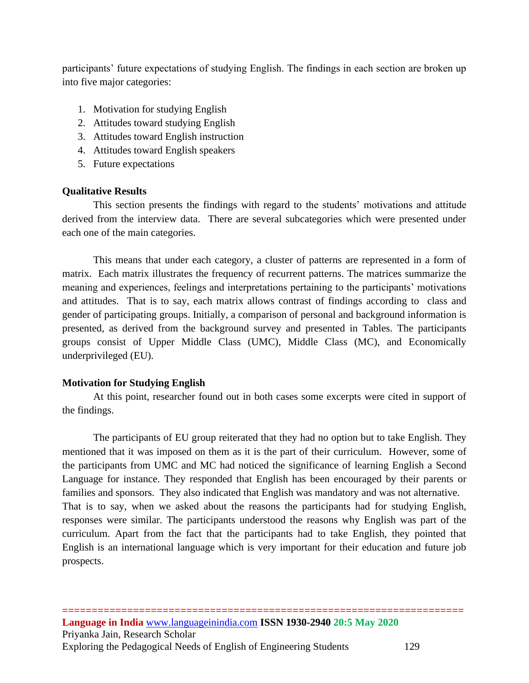participants' future expectations of studying English. The findings in each section are broken up into five major categories:

- 1. Motivation for studying English
- 2. Attitudes toward studying English
- 3. Attitudes toward English instruction
- 4. Attitudes toward English speakers
- 5. Future expectations

### **Qualitative Results**

This section presents the findings with regard to the students' motivations and attitude derived from the interview data. There are several subcategories which were presented under each one of the main categories.

This means that under each category, a cluster of patterns are represented in a form of matrix. Each matrix illustrates the frequency of recurrent patterns. The matrices summarize the meaning and experiences, feelings and interpretations pertaining to the participants' motivations and attitudes. That is to say, each matrix allows contrast of findings according to class and gender of participating groups. Initially, a comparison of personal and background information is presented, as derived from the background survey and presented in Tables. The participants groups consist of Upper Middle Class (UMC), Middle Class (MC), and Economically underprivileged (EU).

### **Motivation for Studying English**

At this point, researcher found out in both cases some excerpts were cited in support of the findings.

The participants of EU group reiterated that they had no option but to take English. They mentioned that it was imposed on them as it is the part of their curriculum. However, some of the participants from UMC and MC had noticed the significance of learning English a Second Language for instance. They responded that English has been encouraged by their parents or families and sponsors. They also indicated that English was mandatory and was not alternative. That is to say, when we asked about the reasons the participants had for studying English, responses were similar. The participants understood the reasons why English was part of the curriculum. Apart from the fact that the participants had to take English, they pointed that English is an international language which is very important for their education and future job prospects.

**====================================================================**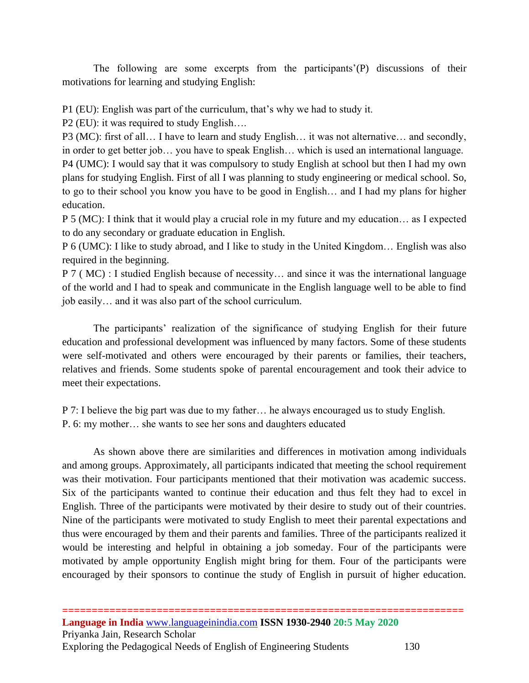The following are some excerpts from the participants'(P) discussions of their motivations for learning and studying English:

P1 (EU): English was part of the curriculum, that's why we had to study it.

P2 (EU): it was required to study English….

P3 (MC): first of all… I have to learn and study English… it was not alternative… and secondly, in order to get better job… you have to speak English… which is used an international language. P4 (UMC): I would say that it was compulsory to study English at school but then I had my own plans for studying English. First of all I was planning to study engineering or medical school. So, to go to their school you know you have to be good in English… and I had my plans for higher education.

P 5 (MC): I think that it would play a crucial role in my future and my education… as I expected to do any secondary or graduate education in English.

P 6 (UMC): I like to study abroad, and I like to study in the United Kingdom… English was also required in the beginning.

P 7 ( MC) : I studied English because of necessity… and since it was the international language of the world and I had to speak and communicate in the English language well to be able to find job easily… and it was also part of the school curriculum.

The participants' realization of the significance of studying English for their future education and professional development was influenced by many factors. Some of these students were self-motivated and others were encouraged by their parents or families, their teachers, relatives and friends. Some students spoke of parental encouragement and took their advice to meet their expectations.

P 7: I believe the big part was due to my father… he always encouraged us to study English. P. 6: my mother… she wants to see her sons and daughters educated

As shown above there are similarities and differences in motivation among individuals and among groups. Approximately, all participants indicated that meeting the school requirement was their motivation. Four participants mentioned that their motivation was academic success. Six of the participants wanted to continue their education and thus felt they had to excel in English. Three of the participants were motivated by their desire to study out of their countries. Nine of the participants were motivated to study English to meet their parental expectations and thus were encouraged by them and their parents and families. Three of the participants realized it would be interesting and helpful in obtaining a job someday. Four of the participants were motivated by ample opportunity English might bring for them. Four of the participants were encouraged by their sponsors to continue the study of English in pursuit of higher education.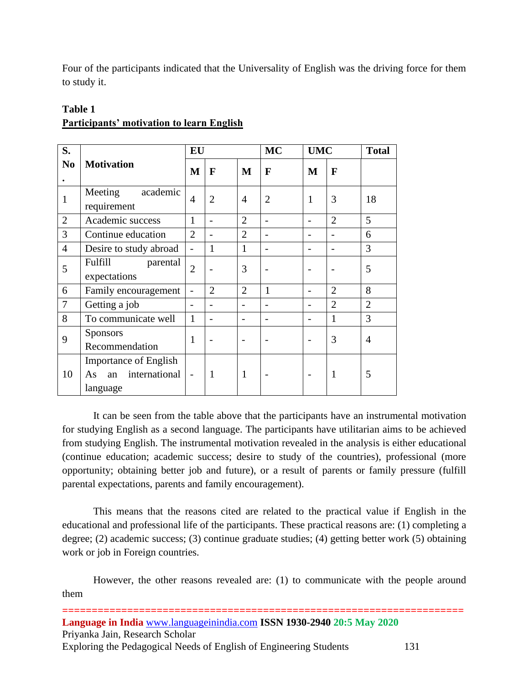Four of the participants indicated that the Universality of English was the driving force for them to study it.

| S.             | <b>Motivation</b>                                                     | EU                       |                          |                | <b>MC</b>      | <b>UMC</b> |                | <b>Total</b>   |
|----------------|-----------------------------------------------------------------------|--------------------------|--------------------------|----------------|----------------|------------|----------------|----------------|
| N <sub>0</sub> |                                                                       | M                        | $\mathbf{F}$             | M              | F              | M          | F              |                |
| 1              | Meeting<br>academic<br>requirement                                    | $\overline{4}$           | $\overline{2}$           | $\overline{A}$ | $\overline{2}$ | 1          | 3              | 18             |
| $\overline{2}$ | Academic success                                                      | $\mathbf{1}$             | $\overline{\phantom{0}}$ | $\overline{2}$ |                |            | $\overline{2}$ | 5              |
| 3              | Continue education                                                    | $\overline{2}$           |                          | $\overline{2}$ |                |            |                | 6              |
| $\overline{4}$ | Desire to study abroad                                                | $\overline{a}$           | $\mathbf{1}$             | $\mathbf{1}$   |                |            |                | 3              |
| 5              | Fulfill<br>parental<br>expectations                                   | $\overline{2}$           |                          | 3              |                |            |                | 5              |
| 6              | Family encouragement                                                  |                          | $\overline{2}$           | $\overline{2}$ | $\mathbf{1}$   |            | $\overline{2}$ | 8              |
| 7              | Getting a job                                                         |                          |                          |                |                |            | $\overline{2}$ | $\overline{2}$ |
| 8              | To communicate well                                                   | $\mathbf{1}$             |                          |                |                |            | $\mathbf{1}$   | 3              |
| 9              | <b>Sponsors</b><br>Recommendation                                     | 1                        |                          |                |                |            | 3              | 4              |
| 10             | <b>Importance of English</b><br>international<br>As<br>an<br>language | $\overline{\phantom{a}}$ | 1                        | 1              |                |            | 1              | 5              |

# **Table 1 Participants' motivation to learn English**

It can be seen from the table above that the participants have an instrumental motivation for studying English as a second language. The participants have utilitarian aims to be achieved from studying English. The instrumental motivation revealed in the analysis is either educational (continue education; academic success; desire to study of the countries), professional (more opportunity; obtaining better job and future), or a result of parents or family pressure (fulfill parental expectations, parents and family encouragement).

This means that the reasons cited are related to the practical value if English in the educational and professional life of the participants. These practical reasons are: (1) completing a degree; (2) academic success; (3) continue graduate studies; (4) getting better work (5) obtaining work or job in Foreign countries.

However, the other reasons revealed are: (1) to communicate with the people around them

**==================================================================== Language in India** [www.languageinindia.com](http://www.languageinindia.com/) **ISSN 1930-2940 20:5 May 2020** Priyanka Jain, Research Scholar Exploring the Pedagogical Needs of English of Engineering Students 131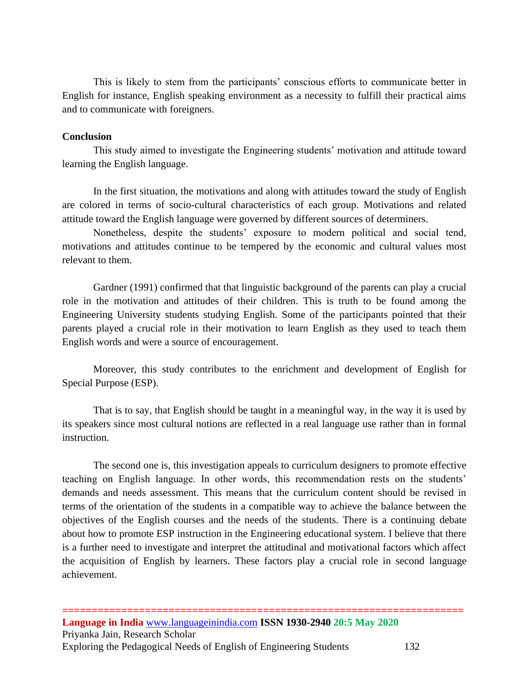This is likely to stem from the participants' conscious efforts to communicate better in English for instance, English speaking environment as a necessity to fulfill their practical aims and to communicate with foreigners.

#### **Conclusion**

This study aimed to investigate the Engineering students' motivation and attitude toward learning the English language.

In the first situation, the motivations and along with attitudes toward the study of English are colored in terms of socio-cultural characteristics of each group. Motivations and related attitude toward the English language were governed by different sources of determiners.

Nonetheless, despite the students' exposure to modern political and social tend, motivations and attitudes continue to be tempered by the economic and cultural values most relevant to them.

Gardner (1991) confirmed that that linguistic background of the parents can play a crucial role in the motivation and attitudes of their children. This is truth to be found among the Engineering University students studying English. Some of the participants pointed that their parents played a crucial role in their motivation to learn English as they used to teach them English words and were a source of encouragement.

Moreover, this study contributes to the enrichment and development of English for Special Purpose (ESP).

That is to say, that English should be taught in a meaningful way, in the way it is used by its speakers since most cultural notions are reflected in a real language use rather than in formal instruction.

The second one is, this investigation appeals to curriculum designers to promote effective teaching on English language. In other words, this recommendation rests on the students' demands and needs assessment. This means that the curriculum content should be revised in terms of the orientation of the students in a compatible way to achieve the balance between the objectives of the English courses and the needs of the students. There is a continuing debate about how to promote ESP instruction in the Engineering educational system. I believe that there is a further need to investigate and interpret the attitudinal and motivational factors which affect the acquisition of English by learners. These factors play a crucial role in second language achievement.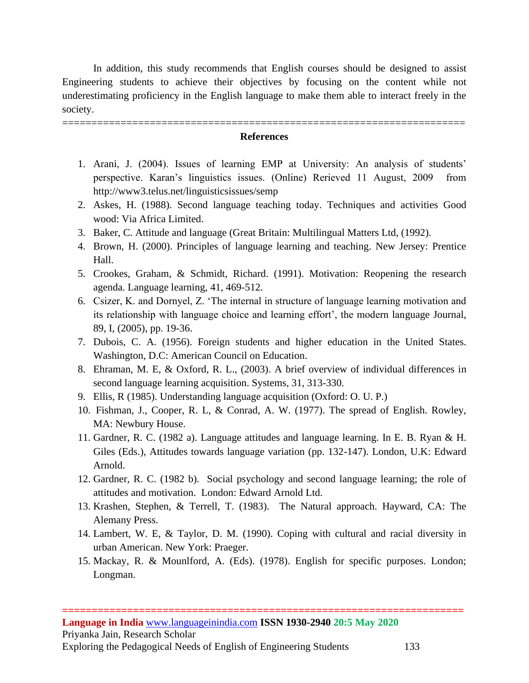In addition, this study recommends that English courses should be designed to assist Engineering students to achieve their objectives by focusing on the content while not underestimating proficiency in the English language to make them able to interact freely in the society.

## ===================================================================== **References**

- 1. Arani, J. (2004). Issues of learning EMP at University: An analysis of students' perspective. Karan's linguistics issues. (Online) Rerieved 11 August, 2009 from http://www3.telus.net/linguisticsissues/semp
- 2. Askes, H. (1988). Second language teaching today. Techniques and activities Good wood: Via Africa Limited.
- 3. Baker, C. Attitude and language (Great Britain: Multilingual Matters Ltd, (1992).
- 4. Brown, H. (2000). Principles of language learning and teaching. New Jersey: Prentice Hall.
- 5. Crookes, Graham, & Schmidt, Richard. (1991). Motivation: Reopening the research agenda. Language learning, 41, 469-512.
- 6. Csizer, K. and Dornyel, Z. 'The internal in structure of language learning motivation and its relationship with language choice and learning effort', the modern language Journal, 89, I, (2005), pp. 19-36.
- 7. Dubois, C. A. (1956). Foreign students and higher education in the United States. Washington, D.C: American Council on Education.
- 8. Ehraman, M. E, & Oxford, R. L., (2003). A brief overview of individual differences in second language learning acquisition. Systems, 31, 313-330.
- 9. Ellis, R (1985). Understanding language acquisition (Oxford: O. U. P.)
- 10. Fishman, J., Cooper, R. L, & Conrad, A. W. (1977). The spread of English. Rowley, MA: Newbury House.
- 11. Gardner, R. C. (1982 a). Language attitudes and language learning. In E. B. Ryan & H. Giles (Eds.), Attitudes towards language variation (pp. 132-147). London, U.K: Edward Arnold.
- 12. Gardner, R. C. (1982 b). Social psychology and second language learning; the role of attitudes and motivation. London: Edward Arnold Ltd.
- 13. Krashen, Stephen, & Terrell, T. (1983). The Natural approach. Hayward, CA: The Alemany Press.
- 14. Lambert, W. E, & Taylor, D. M. (1990). Coping with cultural and racial diversity in urban American. New York: Praeger.
- 15. Mackay, R. & Mounlford, A. (Eds). (1978). English for specific purposes. London; Longman.

**====================================================================**

Exploring the Pedagogical Needs of English of Engineering Students 133

**Language in India** [www.languageinindia.com](http://www.languageinindia.com/) **ISSN 1930-2940 20:5 May 2020** Priyanka Jain, Research Scholar